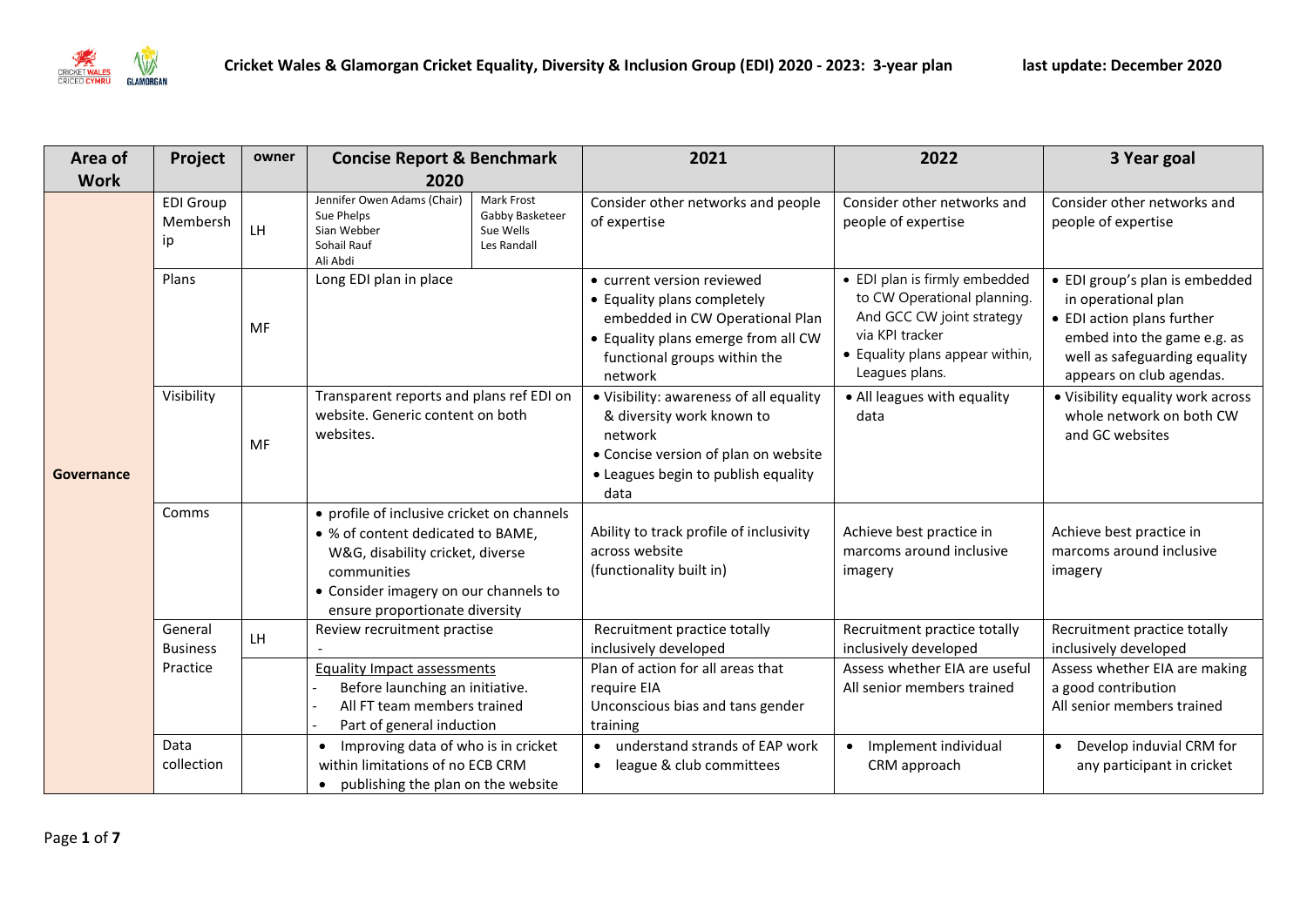

| Area of     | Project                            | owner     | <b>Concise Report &amp; Benchmark</b>                                                                                                                                                                         |                                                           | 2021                                                                                                                                                                           | 2022                                                                                                                                                              | 3 Year goal                                                                                                                                                                     |
|-------------|------------------------------------|-----------|---------------------------------------------------------------------------------------------------------------------------------------------------------------------------------------------------------------|-----------------------------------------------------------|--------------------------------------------------------------------------------------------------------------------------------------------------------------------------------|-------------------------------------------------------------------------------------------------------------------------------------------------------------------|---------------------------------------------------------------------------------------------------------------------------------------------------------------------------------|
| <b>Work</b> |                                    |           | 2020                                                                                                                                                                                                          |                                                           |                                                                                                                                                                                |                                                                                                                                                                   |                                                                                                                                                                                 |
| Governance  | <b>EDI Group</b><br>Membersh<br>ip | LH.       | Jennifer Owen Adams (Chair)<br>Sue Phelps<br>Sian Webber<br>Sohail Rauf<br>Ali Abdi                                                                                                                           | Mark Frost<br>Gabby Basketeer<br>Sue Wells<br>Les Randall | Consider other networks and people<br>of expertise                                                                                                                             | Consider other networks and<br>people of expertise                                                                                                                | Consider other networks and<br>people of expertise                                                                                                                              |
|             | Plans                              | <b>MF</b> | Long EDI plan in place                                                                                                                                                                                        |                                                           | • current version reviewed<br>• Equality plans completely<br>embedded in CW Operational Plan<br>• Equality plans emerge from all CW<br>functional groups within the<br>network | • EDI plan is firmly embedded<br>to CW Operational planning.<br>And GCC CW joint strategy<br>via KPI tracker<br>• Equality plans appear within,<br>Leagues plans. | • EDI group's plan is embedded<br>in operational plan<br>• EDI action plans further<br>embed into the game e.g. as<br>well as safeguarding equality<br>appears on club agendas. |
|             | Visibility                         | MF        | Transparent reports and plans ref EDI on<br>website. Generic content on both<br>websites.                                                                                                                     |                                                           | · Visibility: awareness of all equality<br>& diversity work known to<br>network<br>• Concise version of plan on website<br>• Leagues begin to publish equality<br>data         | • All leagues with equality<br>data                                                                                                                               | . Visibility equality work across<br>whole network on both CW<br>and GC websites                                                                                                |
|             | Comms                              |           | • profile of inclusive cricket on channels<br>• % of content dedicated to BAME,<br>W&G, disability cricket, diverse<br>communities<br>• Consider imagery on our channels to<br>ensure proportionate diversity |                                                           | Ability to track profile of inclusivity<br>across website<br>(functionality built in)                                                                                          | Achieve best practice in<br>marcoms around inclusive<br>imagery                                                                                                   | Achieve best practice in<br>marcoms around inclusive<br>imagery                                                                                                                 |
|             | General<br><b>Business</b>         | LH.       | Review recruitment practise                                                                                                                                                                                   |                                                           | Recruitment practice totally<br>inclusively developed                                                                                                                          | Recruitment practice totally<br>inclusively developed                                                                                                             | Recruitment practice totally<br>inclusively developed                                                                                                                           |
|             | Practice                           |           | <b>Equality Impact assessments</b><br>Before launching an initiative.<br>All FT team members trained<br>Part of general induction                                                                             |                                                           | Plan of action for all areas that<br>require EIA<br>Unconscious bias and tans gender<br>training                                                                               | Assess whether EIA are useful<br>All senior members trained                                                                                                       | Assess whether EIA are making<br>a good contribution<br>All senior members trained                                                                                              |
|             | Data<br>collection                 |           | Improving data of who is in cricket<br>$\bullet$<br>within limitations of no ECB CRM<br>publishing the plan on the website                                                                                    |                                                           | understand strands of EAP work<br>league & club committees<br>$\bullet$                                                                                                        | Implement individual<br>$\bullet$<br>CRM approach                                                                                                                 | • Develop induvial CRM for<br>any participant in cricket                                                                                                                        |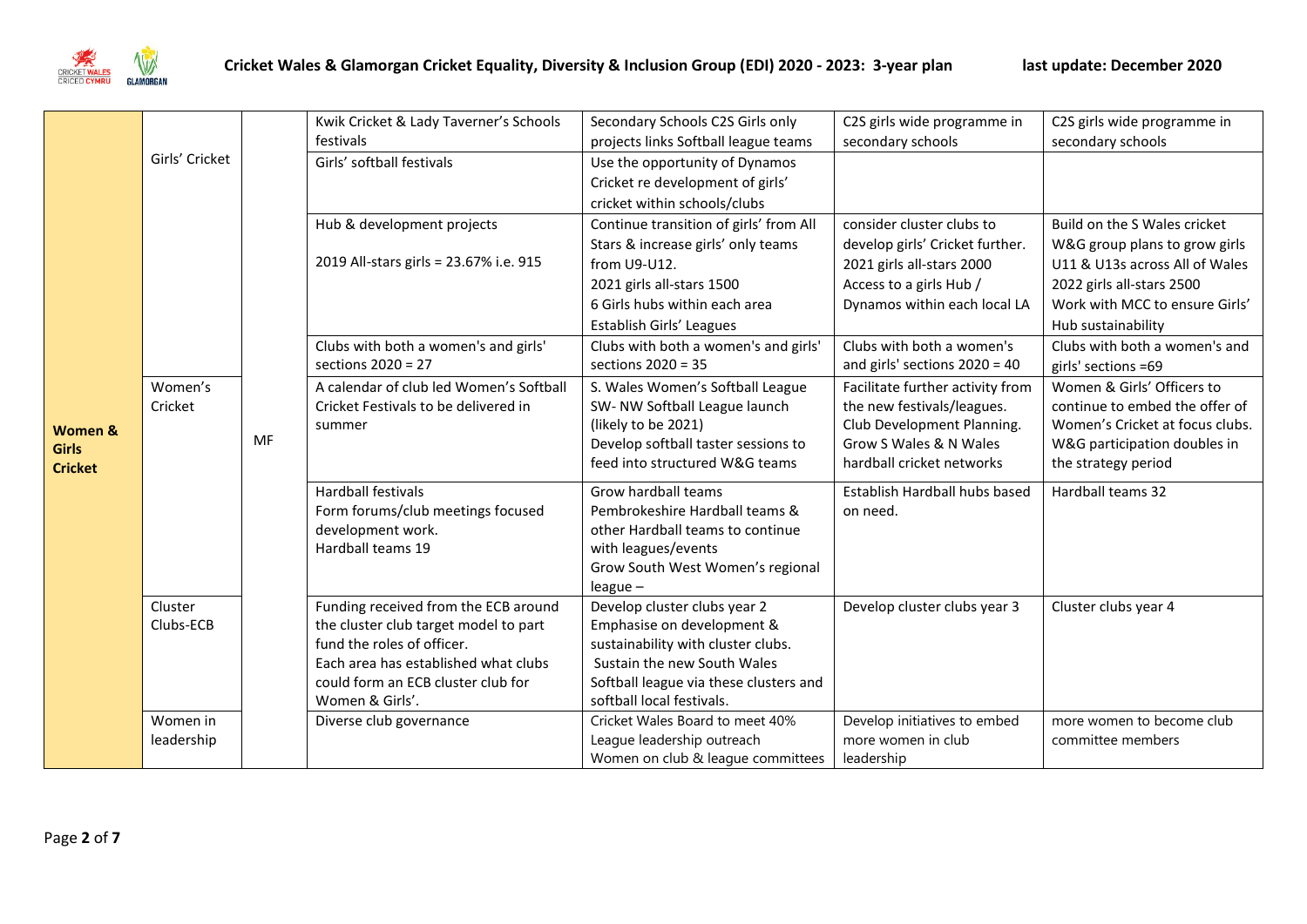

|                |                |    | Kwik Cricket & Lady Taverner's Schools                              | Secondary Schools C2S Girls only                                 | C2S girls wide programme in      | C2S girls wide programme in     |
|----------------|----------------|----|---------------------------------------------------------------------|------------------------------------------------------------------|----------------------------------|---------------------------------|
|                |                |    | festivals                                                           | projects links Softball league teams                             | secondary schools                | secondary schools               |
|                | Girls' Cricket |    | Girls' softball festivals                                           | Use the opportunity of Dynamos                                   |                                  |                                 |
|                |                |    |                                                                     | Cricket re development of girls'                                 |                                  |                                 |
|                |                |    |                                                                     | cricket within schools/clubs                                     |                                  |                                 |
|                |                |    | Hub & development projects                                          | Continue transition of girls' from All                           | consider cluster clubs to        | Build on the S Wales cricket    |
|                |                |    |                                                                     | Stars & increase girls' only teams                               | develop girls' Cricket further.  | W&G group plans to grow girls   |
|                |                |    | 2019 All-stars girls = 23.67% i.e. 915                              | from U9-U12.                                                     | 2021 girls all-stars 2000        | U11 & U13s across All of Wales  |
|                |                |    |                                                                     | 2021 girls all-stars 1500                                        | Access to a girls Hub /          | 2022 girls all-stars 2500       |
|                |                |    |                                                                     | 6 Girls hubs within each area                                    | Dynamos within each local LA     | Work with MCC to ensure Girls'  |
|                |                |    |                                                                     | Establish Girls' Leagues                                         |                                  | Hub sustainability              |
|                |                |    | Clubs with both a women's and girls'                                | Clubs with both a women's and girls'                             | Clubs with both a women's        | Clubs with both a women's and   |
|                |                |    | sections 2020 = 27                                                  | sections 2020 = 35                                               | and girls' sections 2020 = 40    | girls' sections =69             |
|                | Women's        |    | A calendar of club led Women's Softball                             | S. Wales Women's Softball League                                 | Facilitate further activity from | Women & Girls' Officers to      |
|                | Cricket        | MF | Cricket Festivals to be delivered in                                | SW- NW Softball League launch                                    | the new festivals/leagues.       | continue to embed the offer of  |
| Women &        |                |    | summer                                                              | (likely to be 2021)                                              | Club Development Planning.       | Women's Cricket at focus clubs. |
| <b>Girls</b>   |                |    |                                                                     | Develop softball taster sessions to                              | Grow S Wales & N Wales           | W&G participation doubles in    |
| <b>Cricket</b> |                |    |                                                                     | feed into structured W&G teams                                   | hardball cricket networks        | the strategy period             |
|                |                |    | <b>Hardball festivals</b>                                           | Grow hardball teams                                              | Establish Hardball hubs based    | Hardball teams 32               |
|                |                |    | Form forums/club meetings focused                                   | Pembrokeshire Hardball teams &                                   | on need.                         |                                 |
|                |                |    | development work.                                                   | other Hardball teams to continue                                 |                                  |                                 |
|                |                |    | Hardball teams 19                                                   | with leagues/events                                              |                                  |                                 |
|                |                |    |                                                                     | Grow South West Women's regional                                 |                                  |                                 |
|                |                |    |                                                                     | $league -$                                                       |                                  |                                 |
|                | Cluster        |    | Funding received from the ECB around                                | Develop cluster clubs year 2                                     | Develop cluster clubs year 3     | Cluster clubs year 4            |
|                | Clubs-ECB      |    | the cluster club target model to part<br>fund the roles of officer. | Emphasise on development &<br>sustainability with cluster clubs. |                                  |                                 |
|                |                |    | Each area has established what clubs                                | Sustain the new South Wales                                      |                                  |                                 |
|                |                |    | could form an ECB cluster club for                                  | Softball league via these clusters and                           |                                  |                                 |
|                |                |    | Women & Girls'.                                                     | softball local festivals.                                        |                                  |                                 |
|                | Women in       |    | Diverse club governance                                             | Cricket Wales Board to meet 40%                                  | Develop initiatives to embed     | more women to become club       |
|                | leadership     |    |                                                                     | League leadership outreach                                       | more women in club               | committee members               |
|                |                |    |                                                                     | Women on club & league committees                                | leadership                       |                                 |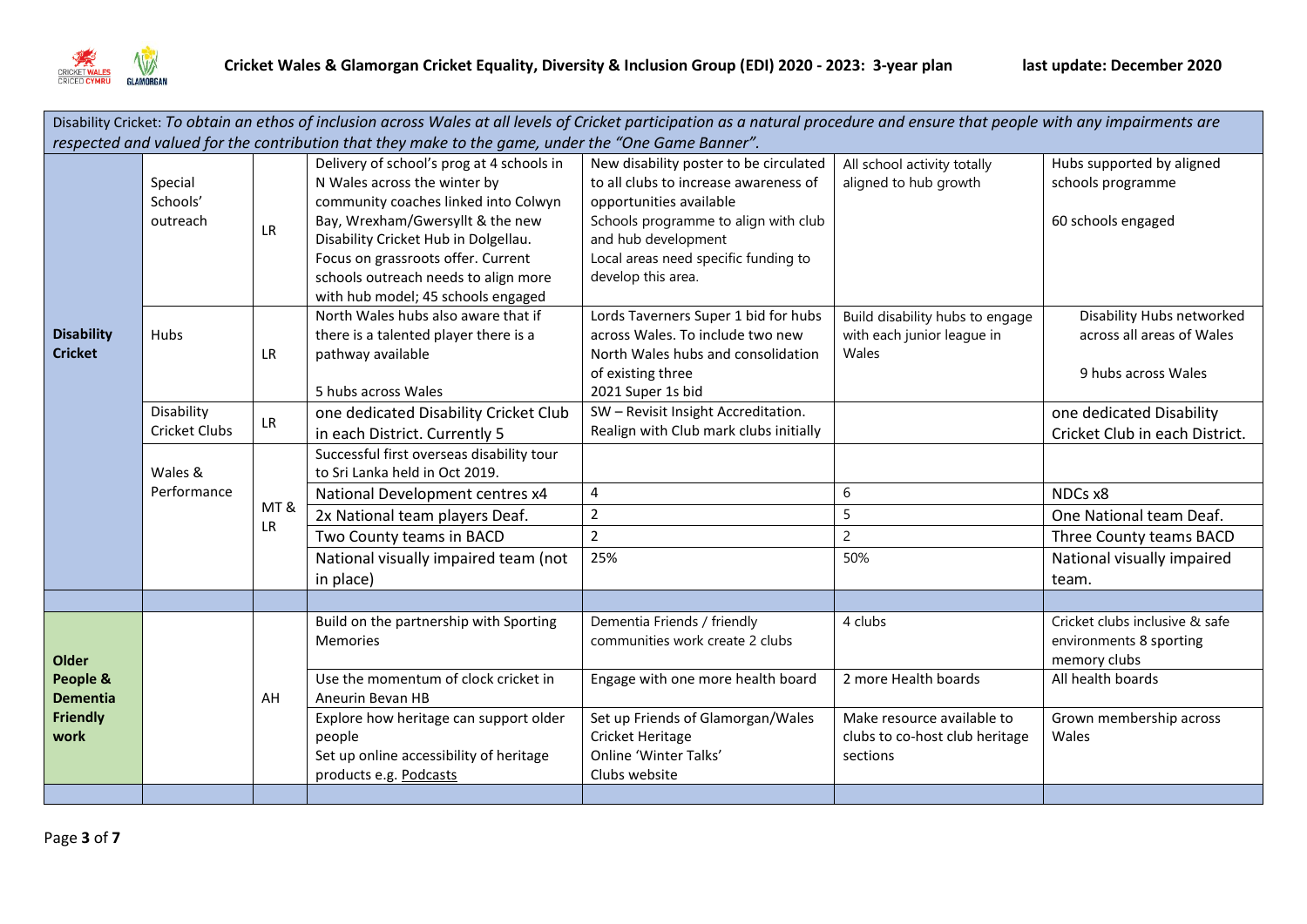

| Disability Cricket: To obtain an ethos of inclusion across Wales at all levels of Cricket participation as a natural procedure and ensure that people with any impairments are |                                    |           |                                                                                                                                                                                                                                                                                                                   |                                                                                                                                                                                                                                         |                                                                                                             |                                                                                                                                    |  |  |
|--------------------------------------------------------------------------------------------------------------------------------------------------------------------------------|------------------------------------|-----------|-------------------------------------------------------------------------------------------------------------------------------------------------------------------------------------------------------------------------------------------------------------------------------------------------------------------|-----------------------------------------------------------------------------------------------------------------------------------------------------------------------------------------------------------------------------------------|-------------------------------------------------------------------------------------------------------------|------------------------------------------------------------------------------------------------------------------------------------|--|--|
| respected and valued for the contribution that they make to the game, under the "One Game Banner".                                                                             |                                    |           |                                                                                                                                                                                                                                                                                                                   |                                                                                                                                                                                                                                         |                                                                                                             |                                                                                                                                    |  |  |
|                                                                                                                                                                                | Special<br>Schools'<br>outreach    | LR.       | Delivery of school's prog at 4 schools in<br>N Wales across the winter by<br>community coaches linked into Colwyn<br>Bay, Wrexham/Gwersyllt & the new<br>Disability Cricket Hub in Dolgellau.<br>Focus on grassroots offer. Current<br>schools outreach needs to align more<br>with hub model; 45 schools engaged | New disability poster to be circulated<br>to all clubs to increase awareness of<br>opportunities available<br>Schools programme to align with club<br>and hub development<br>Local areas need specific funding to<br>develop this area. | All school activity totally<br>aligned to hub growth                                                        | Hubs supported by aligned<br>schools programme<br>60 schools engaged                                                               |  |  |
| <b>Disability</b><br><b>Cricket</b>                                                                                                                                            | Hubs                               | LR        | North Wales hubs also aware that if<br>there is a talented player there is a<br>pathway available<br>5 hubs across Wales                                                                                                                                                                                          | Lords Taverners Super 1 bid for hubs<br>across Wales. To include two new<br>North Wales hubs and consolidation<br>of existing three<br>2021 Super 1s bid                                                                                | Build disability hubs to engage<br>with each junior league in<br>Wales                                      | Disability Hubs networked<br>across all areas of Wales<br>9 hubs across Wales                                                      |  |  |
|                                                                                                                                                                                | Disability<br><b>Cricket Clubs</b> | LR        | one dedicated Disability Cricket Club<br>in each District. Currently 5                                                                                                                                                                                                                                            | SW - Revisit Insight Accreditation.<br>Realign with Club mark clubs initially                                                                                                                                                           |                                                                                                             | one dedicated Disability<br>Cricket Club in each District.                                                                         |  |  |
|                                                                                                                                                                                | Wales &<br>Performance             | MT&<br>LR | Successful first overseas disability tour<br>to Sri Lanka held in Oct 2019.<br>National Development centres x4<br>2x National team players Deaf.<br>Two County teams in BACD<br>National visually impaired team (not<br>in place)                                                                                 | 4<br>$\overline{2}$<br>$\overline{2}$<br>25%                                                                                                                                                                                            | 6<br>5<br>$\overline{c}$<br>50%                                                                             | NDCs x8<br>One National team Deaf.<br>Three County teams BACD<br>National visually impaired<br>team.                               |  |  |
|                                                                                                                                                                                |                                    |           |                                                                                                                                                                                                                                                                                                                   |                                                                                                                                                                                                                                         |                                                                                                             |                                                                                                                                    |  |  |
| <b>Older</b><br>People &<br><b>Dementia</b><br><b>Friendly</b><br>work                                                                                                         |                                    | AH        | Build on the partnership with Sporting<br>Memories<br>Use the momentum of clock cricket in<br>Aneurin Bevan HB<br>Explore how heritage can support older<br>people<br>Set up online accessibility of heritage<br>products e.g. Podcasts                                                                           | Dementia Friends / friendly<br>communities work create 2 clubs<br>Engage with one more health board<br>Set up Friends of Glamorgan/Wales<br>Cricket Heritage<br>Online 'Winter Talks'<br>Clubs website                                  | 4 clubs<br>2 more Health boards<br>Make resource available to<br>clubs to co-host club heritage<br>sections | Cricket clubs inclusive & safe<br>environments 8 sporting<br>memory clubs<br>All health boards<br>Grown membership across<br>Wales |  |  |
|                                                                                                                                                                                |                                    |           |                                                                                                                                                                                                                                                                                                                   |                                                                                                                                                                                                                                         |                                                                                                             |                                                                                                                                    |  |  |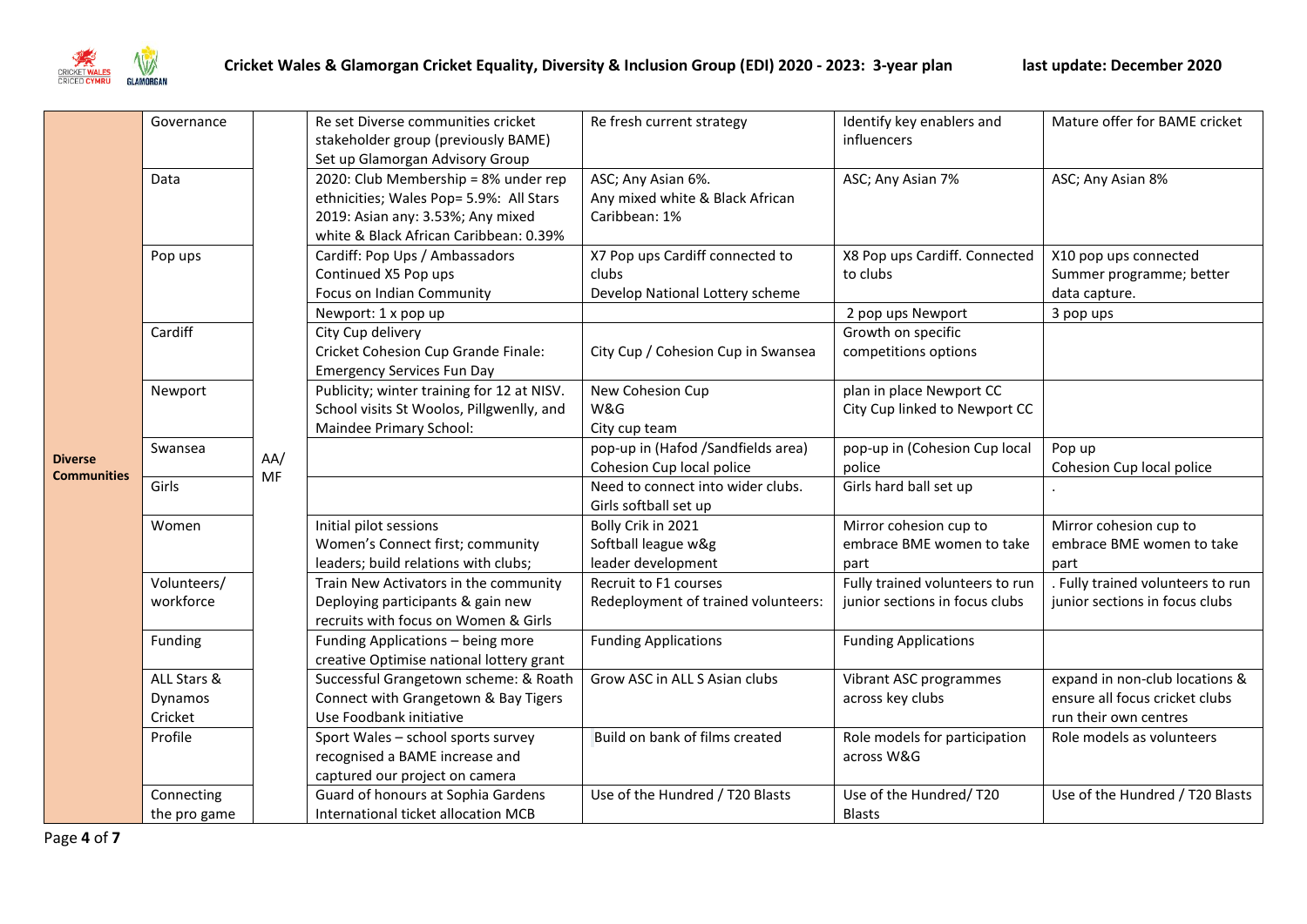

| <b>Diverse</b>     | Governance                        |     | Re set Diverse communities cricket<br>stakeholder group (previously BAME)<br>Set up Glamorgan Advisory Group                                                   | Re fresh current strategy                                                                              | Identify key enablers and<br>influencers                          | Mature offer for BAME cricket                                                             |
|--------------------|-----------------------------------|-----|----------------------------------------------------------------------------------------------------------------------------------------------------------------|--------------------------------------------------------------------------------------------------------|-------------------------------------------------------------------|-------------------------------------------------------------------------------------------|
|                    | Data                              |     | 2020: Club Membership = 8% under rep<br>ethnicities; Wales Pop= 5.9%: All Stars<br>2019: Asian any: 3.53%; Any mixed<br>white & Black African Caribbean: 0.39% | ASC; Any Asian 6%.<br>Any mixed white & Black African<br>Caribbean: 1%                                 | ASC; Any Asian 7%                                                 | ASC; Any Asian 8%                                                                         |
|                    | Pop ups                           |     | Cardiff: Pop Ups / Ambassadors<br>Continued X5 Pop ups<br>Focus on Indian Community                                                                            | X7 Pop ups Cardiff connected to<br>clubs<br>Develop National Lottery scheme                            | X8 Pop ups Cardiff. Connected<br>to clubs                         | X10 pop ups connected<br>Summer programme; better<br>data capture.                        |
|                    | Cardiff                           |     | Newport: 1 x pop up<br>City Cup delivery<br>Cricket Cohesion Cup Grande Finale:<br><b>Emergency Services Fun Day</b>                                           | City Cup / Cohesion Cup in Swansea                                                                     | 2 pop ups Newport<br>Growth on specific<br>competitions options   | 3 pop ups                                                                                 |
|                    | Newport                           |     | Publicity; winter training for 12 at NISV.<br>School visits St Woolos, Pillgwenlly, and<br>Maindee Primary School:                                             | New Cohesion Cup<br>W&G<br>City cup team                                                               | plan in place Newport CC<br>City Cup linked to Newport CC         |                                                                                           |
|                    | Swansea                           | AA/ |                                                                                                                                                                | pop-up in (Hafod /Sandfields area)<br>Cohesion Cup local police                                        | pop-up in (Cohesion Cup local<br>police                           | Pop up<br>Cohesion Cup local police                                                       |
| <b>Communities</b> | Girls                             | MF  |                                                                                                                                                                | Need to connect into wider clubs.<br>Girls softball set up                                             | Girls hard ball set up                                            |                                                                                           |
|                    | Women                             |     | Initial pilot sessions<br>Women's Connect first; community<br>leaders; build relations with clubs;                                                             | Bolly Crik in 2021<br>Softball league w&g<br>leader development                                        | Mirror cohesion cup to<br>embrace BME women to take<br>part       | Mirror cohesion cup to<br>embrace BME women to take<br>part                               |
|                    | Volunteers/<br>workforce          |     | Train New Activators in the community<br>Deploying participants & gain new<br>recruits with focus on Women & Girls                                             | Recruit to F1 courses<br>Redeployment of trained volunteers:                                           | Fully trained volunteers to run<br>junior sections in focus clubs | . Fully trained volunteers to run<br>junior sections in focus clubs                       |
|                    | Funding                           |     | Funding Applications - being more<br>creative Optimise national lottery grant                                                                                  | <b>Funding Applications</b>                                                                            | <b>Funding Applications</b>                                       |                                                                                           |
|                    | ALL Stars &<br>Dynamos<br>Cricket |     | Successful Grangetown scheme: & Roath<br>Connect with Grangetown & Bay Tigers<br>Use Foodbank initiative                                                       | Grow ASC in ALL S Asian clubs                                                                          | Vibrant ASC programmes<br>across key clubs                        | expand in non-club locations &<br>ensure all focus cricket clubs<br>run their own centres |
|                    | Profile                           |     |                                                                                                                                                                | Sport Wales - school sports survey<br>recognised a BAME increase and<br>captured our project on camera | Build on bank of films created                                    | Role models for participation<br>across W&G                                               |
|                    | Connecting<br>the pro game        |     | Guard of honours at Sophia Gardens<br>International ticket allocation MCB                                                                                      | Use of the Hundred / T20 Blasts                                                                        | Use of the Hundred/T20<br><b>Blasts</b>                           | Use of the Hundred / T20 Blasts                                                           |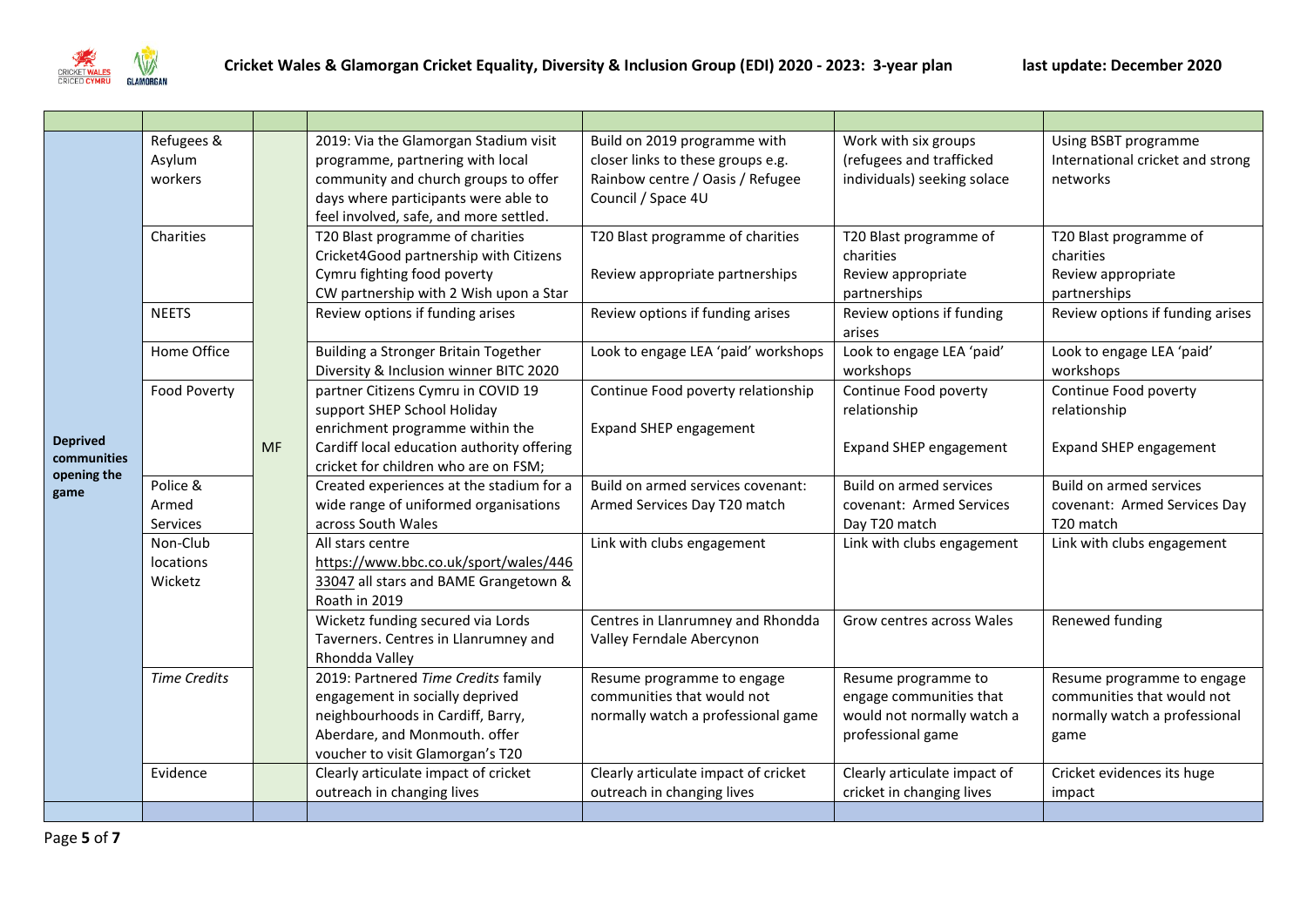

|                                                       | Refugees &<br>Asylum<br>workers  |           | 2019: Via the Glamorgan Stadium visit<br>programme, partnering with local<br>community and church groups to offer<br>days where participants were able to<br>feel involved, safe, and more settled. | Build on 2019 programme with<br>closer links to these groups e.g.<br>Rainbow centre / Oasis / Refugee<br>Council / Space 4U                         | Work with six groups<br>(refugees and trafficked<br>individuals) seeking solace                   | Using BSBT programme<br>International cricket and strong<br>networks                              |                                                                           |
|-------------------------------------------------------|----------------------------------|-----------|-----------------------------------------------------------------------------------------------------------------------------------------------------------------------------------------------------|-----------------------------------------------------------------------------------------------------------------------------------------------------|---------------------------------------------------------------------------------------------------|---------------------------------------------------------------------------------------------------|---------------------------------------------------------------------------|
|                                                       | Charities                        |           |                                                                                                                                                                                                     | T20 Blast programme of charities<br>Cricket4Good partnership with Citizens<br>Cymru fighting food poverty<br>CW partnership with 2 Wish upon a Star | T20 Blast programme of charities<br>Review appropriate partnerships                               | T20 Blast programme of<br>charities<br>Review appropriate<br>partnerships                         | T20 Blast programme of<br>charities<br>Review appropriate<br>partnerships |
|                                                       | <b>NEETS</b>                     |           | Review options if funding arises                                                                                                                                                                    | Review options if funding arises                                                                                                                    | Review options if funding<br>arises                                                               | Review options if funding arises                                                                  |                                                                           |
|                                                       | Home Office                      |           | Building a Stronger Britain Together<br>Diversity & Inclusion winner BITC 2020                                                                                                                      | Look to engage LEA 'paid' workshops                                                                                                                 | Look to engage LEA 'paid'<br>workshops                                                            | Look to engage LEA 'paid'<br>workshops                                                            |                                                                           |
| <b>Deprived</b><br>communities<br>opening the<br>game | Food Poverty                     | <b>MF</b> | partner Citizens Cymru in COVID 19<br>support SHEP School Holiday<br>enrichment programme within the<br>Cardiff local education authority offering<br>cricket for children who are on FSM;          | Continue Food poverty relationship<br>Expand SHEP engagement                                                                                        | Continue Food poverty<br>relationship<br>Expand SHEP engagement                                   | Continue Food poverty<br>relationship<br><b>Expand SHEP engagement</b>                            |                                                                           |
|                                                       | Police &<br>Armed<br>Services    |           | Created experiences at the stadium for a<br>wide range of uniformed organisations<br>across South Wales                                                                                             | Build on armed services covenant:<br>Armed Services Day T20 match                                                                                   | Build on armed services<br>covenant: Armed Services<br>Day T20 match                              | Build on armed services<br>covenant: Armed Services Day<br>T <sub>20</sub> match                  |                                                                           |
|                                                       | Non-Club<br>locations<br>Wicketz |           | All stars centre<br>https://www.bbc.co.uk/sport/wales/446<br>33047 all stars and BAME Grangetown &<br>Roath in 2019                                                                                 | Link with clubs engagement                                                                                                                          | Link with clubs engagement                                                                        | Link with clubs engagement                                                                        |                                                                           |
|                                                       |                                  |           |                                                                                                                                                                                                     | Wicketz funding secured via Lords<br>Taverners. Centres in Llanrumney and<br>Rhondda Valley                                                         | Centres in Llanrumney and Rhondda<br>Valley Ferndale Abercynon                                    | Grow centres across Wales                                                                         | Renewed funding                                                           |
|                                                       | <b>Time Credits</b>              |           | 2019: Partnered Time Credits family<br>engagement in socially deprived<br>neighbourhoods in Cardiff, Barry,<br>Aberdare, and Monmouth. offer<br>voucher to visit Glamorgan's T20                    | Resume programme to engage<br>communities that would not<br>normally watch a professional game                                                      | Resume programme to<br>engage communities that<br>would not normally watch a<br>professional game | Resume programme to engage<br>communities that would not<br>normally watch a professional<br>game |                                                                           |
|                                                       | Evidence                         |           | Clearly articulate impact of cricket<br>outreach in changing lives                                                                                                                                  | Clearly articulate impact of cricket<br>outreach in changing lives                                                                                  | Clearly articulate impact of<br>cricket in changing lives                                         | Cricket evidences its huge<br>impact                                                              |                                                                           |
|                                                       |                                  |           |                                                                                                                                                                                                     |                                                                                                                                                     |                                                                                                   |                                                                                                   |                                                                           |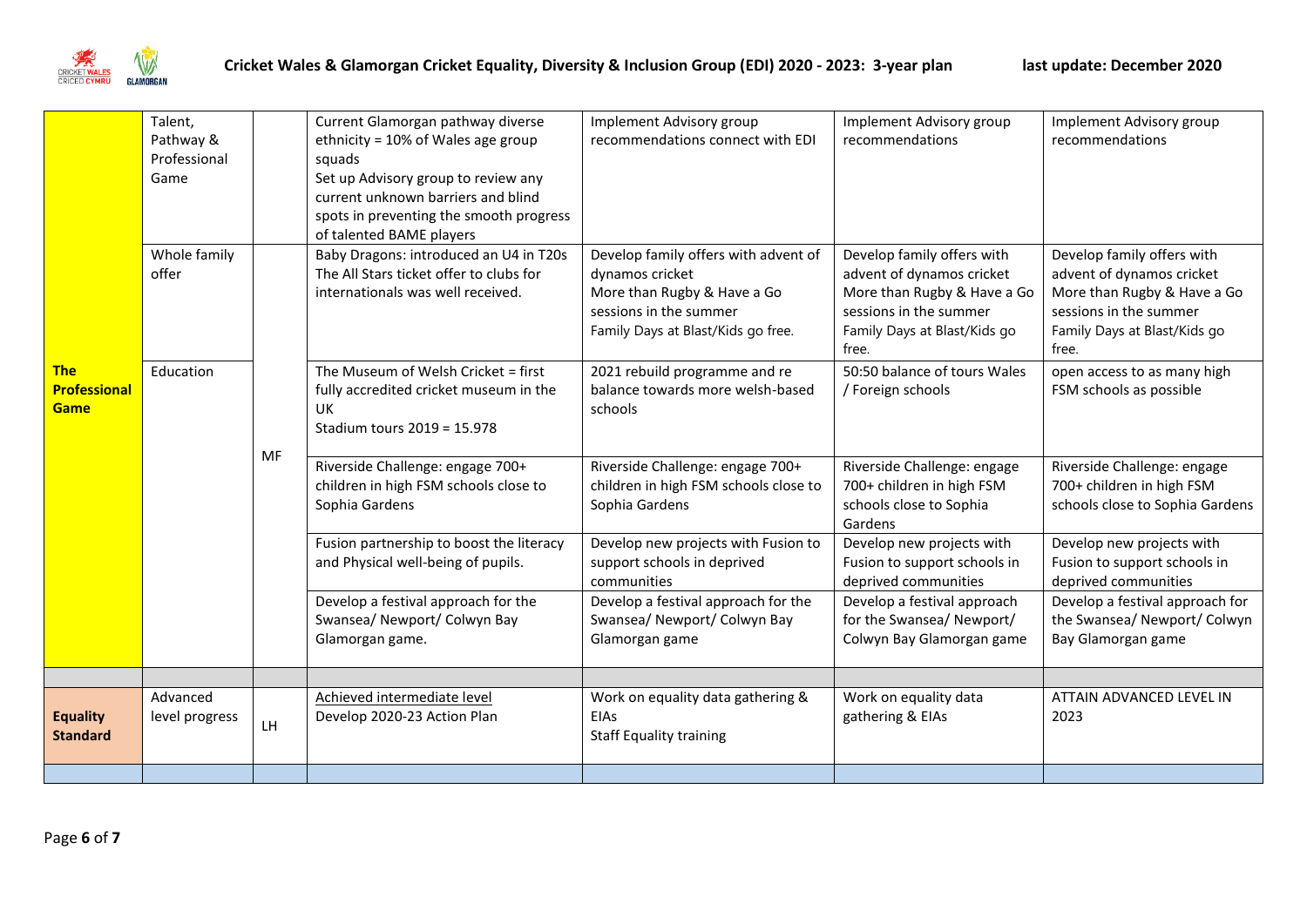

|                     | Talent,        |    | Current Glamorgan pathway diverse                                   | Implement Advisory group              | Implement Advisory group     | Implement Advisory group        |
|---------------------|----------------|----|---------------------------------------------------------------------|---------------------------------------|------------------------------|---------------------------------|
|                     | Pathway &      |    | ethnicity = 10% of Wales age group                                  | recommendations connect with EDI      | recommendations              | recommendations                 |
|                     | Professional   |    | squads                                                              |                                       |                              |                                 |
|                     | Game           |    | Set up Advisory group to review any                                 |                                       |                              |                                 |
|                     |                |    | current unknown barriers and blind                                  |                                       |                              |                                 |
|                     |                |    | spots in preventing the smooth progress<br>of talented BAME players |                                       |                              |                                 |
|                     | Whole family   |    | Baby Dragons: introduced an U4 in T20s                              | Develop family offers with advent of  | Develop family offers with   | Develop family offers with      |
|                     | offer          |    | The All Stars ticket offer to clubs for                             | dynamos cricket                       | advent of dynamos cricket    | advent of dynamos cricket       |
|                     |                |    | internationals was well received.                                   | More than Rugby & Have a Go           | More than Rugby & Have a Go  | More than Rugby & Have a Go     |
|                     |                |    |                                                                     | sessions in the summer                | sessions in the summer       | sessions in the summer          |
|                     |                |    |                                                                     | Family Days at Blast/Kids go free.    | Family Days at Blast/Kids go | Family Days at Blast/Kids go    |
|                     |                |    |                                                                     |                                       | free.                        | free.                           |
| <b>The</b>          | Education      |    | The Museum of Welsh Cricket = first                                 | 2021 rebuild programme and re         | 50:50 balance of tours Wales | open access to as many high     |
| <b>Professional</b> |                |    | fully accredited cricket museum in the                              | balance towards more welsh-based      | / Foreign schools            | FSM schools as possible         |
| <b>Game</b>         |                |    | <b>UK</b>                                                           | schools                               |                              |                                 |
|                     |                |    | Stadium tours 2019 = 15.978                                         |                                       |                              |                                 |
|                     |                | MF | Riverside Challenge: engage 700+                                    | Riverside Challenge: engage 700+      | Riverside Challenge: engage  | Riverside Challenge: engage     |
|                     |                |    | children in high FSM schools close to                               | children in high FSM schools close to | 700+ children in high FSM    | 700+ children in high FSM       |
|                     |                |    | Sophia Gardens                                                      | Sophia Gardens                        | schools close to Sophia      | schools close to Sophia Gardens |
|                     |                |    |                                                                     |                                       | Gardens                      |                                 |
|                     |                |    | Fusion partnership to boost the literacy                            | Develop new projects with Fusion to   | Develop new projects with    | Develop new projects with       |
|                     |                |    | and Physical well-being of pupils.                                  | support schools in deprived           | Fusion to support schools in | Fusion to support schools in    |
|                     |                |    |                                                                     | communities                           | deprived communities         | deprived communities            |
|                     |                |    | Develop a festival approach for the                                 | Develop a festival approach for the   | Develop a festival approach  | Develop a festival approach for |
|                     |                |    | Swansea/ Newport/ Colwyn Bay                                        | Swansea/ Newport/ Colwyn Bay          | for the Swansea/ Newport/    | the Swansea/ Newport/ Colwyn    |
|                     |                |    | Glamorgan game.                                                     | Glamorgan game                        | Colwyn Bay Glamorgan game    | Bay Glamorgan game              |
|                     |                |    |                                                                     |                                       |                              |                                 |
|                     | Advanced       |    | Achieved intermediate level                                         | Work on equality data gathering &     | Work on equality data        | ATTAIN ADVANCED LEVEL IN        |
| <b>Equality</b>     | level progress | LH | Develop 2020-23 Action Plan                                         | <b>EIAs</b>                           | gathering & EIAs             | 2023                            |
| <b>Standard</b>     |                |    |                                                                     | <b>Staff Equality training</b>        |                              |                                 |
|                     |                |    |                                                                     |                                       |                              |                                 |
|                     |                |    |                                                                     |                                       |                              |                                 |